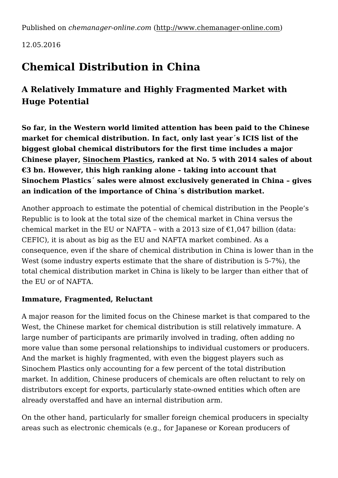Published on *chemanager-online.com* [\(http://www.chemanager-online.com](http://www.chemanager-online.com))

12.05.2016

# **Chemical Distribution in China**

# **A Relatively Immature and Highly Fragmented Market with Huge Potential**

**So far, in the Western world limited attention has been paid to the Chinese market for chemical distribution. In fact, only last year´s ICIS list of the biggest global chemical distributors for the first time includes a major Chinese player, [Sinochem Plastics,](http://www.chemanager-online.com/en/tags/sinochem) ranked at No. 5 with 2014 sales of about €3 bn. However, this high ranking alone – taking into account that Sinochem Plastics´ sales were almost exclusively generated in China – gives an indication of the importance of China´s distribution market.**

Another approach to estimate the potential of chemical distribution in the People's Republic is to look at the total size of the chemical market in China versus the chemical market in the EU or NAFTA - with a 2013 size of  $\epsilon$ 1,047 billion (data: CEFIC), it is about as big as the EU and NAFTA market combined. As a consequence, even if the share of chemical distribution in China is lower than in the West (some industry experts estimate that the share of distribution is 5-7%), the total chemical distribution market in China is likely to be larger than either that of the EU or of NAFTA.

# **Immature, Fragmented, Reluctant**

A major reason for the limited focus on the Chinese market is that compared to the West, the Chinese market for chemical distribution is still relatively immature. A large number of participants are primarily involved in trading, often adding no more value than some personal relationships to individual customers or producers. And the market is highly fragmented, with even the biggest players such as Sinochem Plastics only accounting for a few percent of the total distribution market. In addition, Chinese producers of chemicals are often reluctant to rely on distributors except for exports, particularly state-owned entities which often are already overstaffed and have an internal distribution arm.

On the other hand, particularly for smaller foreign chemical producers in specialty areas such as electronic chemicals (e.g., for Japanese or Korean producers of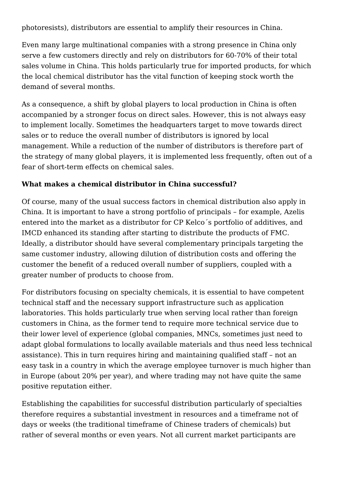photoresists), distributors are essential to amplify their resources in China.

Even many large multinational companies with a strong presence in China only serve a few customers directly and rely on distributors for 60-70% of their total sales volume in China. This holds particularly true for imported products, for which the local chemical distributor has the vital function of keeping stock worth the demand of several months.

As a consequence, a shift by global players to local production in China is often accompanied by a stronger focus on direct sales. However, this is not always easy to implement locally. Sometimes the headquarters target to move towards direct sales or to reduce the overall number of distributors is ignored by local management. While a reduction of the number of distributors is therefore part of the strategy of many global players, it is implemented less frequently, often out of a fear of short-term effects on chemical sales.

## **What makes a chemical distributor in China successful?**

Of course, many of the usual success factors in chemical distribution also apply in China. It is important to have a strong portfolio of principals – for example, Azelis entered into the market as a distributor for CP Kelco´s portfolio of additives, and IMCD enhanced its standing after starting to distribute the products of FMC. Ideally, a distributor should have several complementary principals targeting the same customer industry, allowing dilution of distribution costs and offering the customer the benefit of a reduced overall number of suppliers, coupled with a greater number of products to choose from.

For distributors focusing on specialty chemicals, it is essential to have competent technical staff and the necessary support infrastructure such as application laboratories. This holds particularly true when serving local rather than foreign customers in China, as the former tend to require more technical service due to their lower level of experience (global companies, MNCs, sometimes just need to adapt global formulations to locally available materials and thus need less technical assistance). This in turn requires hiring and maintaining qualified staff – not an easy task in a country in which the average employee turnover is much higher than in Europe (about 20% per year), and where trading may not have quite the same positive reputation either.

Establishing the capabilities for successful distribution particularly of specialties therefore requires a substantial investment in resources and a timeframe not of days or weeks (the traditional timeframe of Chinese traders of chemicals) but rather of several months or even years. Not all current market participants are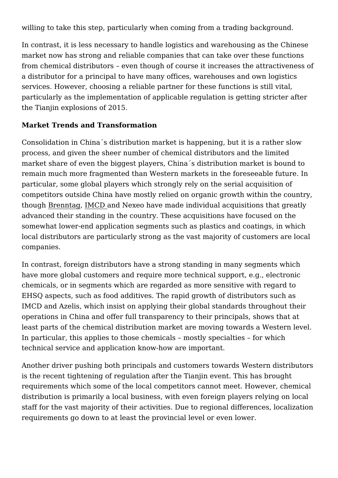willing to take this step, particularly when coming from a trading background.

In contrast, it is less necessary to handle logistics and warehousing as the Chinese market now has strong and reliable companies that can take over these functions from chemical distributors – even though of course it increases the attractiveness of a distributor for a principal to have many offices, warehouses and own logistics services. However, choosing a reliable partner for these functions is still vital, particularly as the implementation of applicable regulation is getting stricter after the Tianjin explosions of 2015.

### **Market Trends and Transformation**

Consolidation in China´s distribution market is happening, but it is a rather slow process, and given the sheer number of chemical distributors and the limited market share of even the biggest players, China´s distribution market is bound to remain much more fragmented than Western markets in the foreseeable future. In particular, some global players which strongly rely on the serial acquisition of competitors outside China have mostly relied on organic growth within the country, though [Brenntag,](http://www.chemanager-online.com/en/tags/brenntag) [IMCD a](http://www.chemanager-online.com/en/tags/imcd)nd Nexeo have made individual acquisitions that greatly advanced their standing in the country. These acquisitions have focused on the somewhat lower-end application segments such as plastics and coatings, in which local distributors are particularly strong as the vast majority of customers are local companies.

In contrast, foreign distributors have a strong standing in many segments which have more global customers and require more technical support, e.g., electronic chemicals, or in segments which are regarded as more sensitive with regard to EHSQ aspects, such as food additives. The rapid growth of distributors such as IMCD and Azelis, which insist on applying their global standards throughout their operations in China and offer full transparency to their principals, shows that at least parts of the chemical distribution market are moving towards a Western level. In particular, this applies to those chemicals – mostly specialties – for which technical service and application know-how are important.

Another driver pushing both principals and customers towards Western distributors is the recent tightening of regulation after the Tianjin event. This has brought requirements which some of the local competitors cannot meet. However, chemical distribution is primarily a local business, with even foreign players relying on local staff for the vast majority of their activities. Due to regional differences, localization requirements go down to at least the provincial level or even lower.